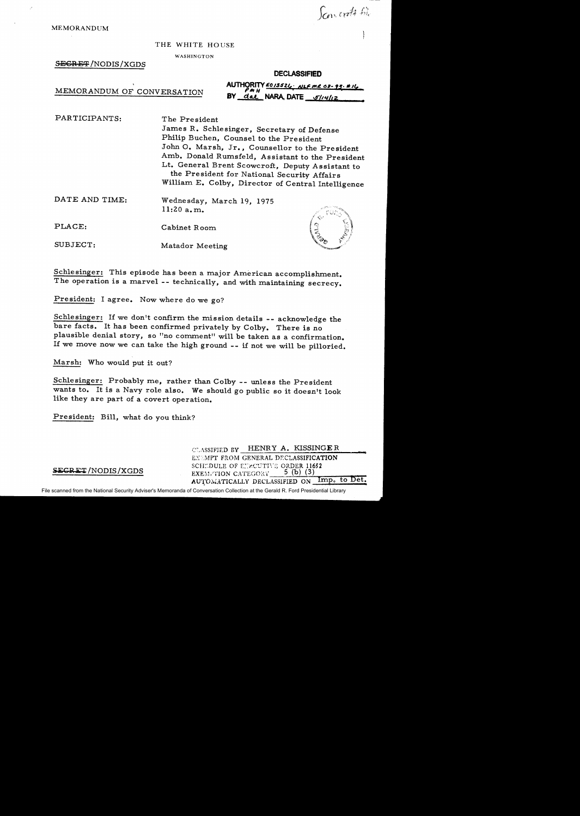Sancrott 6%

MEMORANDUM

#### THE WHITE HOUSE

#### WASHINGTON

#### SECRET/NODIS/XGDS

#### **DECLASSIFIED**

MEMORANDUM OF CONVERSATION

| AUTHORITY $\frac{\epsilon_{0/3524}}{\epsilon_{0/3524}}$ , NLF me 08-93. E/6 |
|-----------------------------------------------------------------------------|
| BY dal NARA, DATE $\frac{51}{412}$                                          |

PARTICIPANTS: The President James R. Schlesinger, Secretary of Defense Philip Buchen, Counsel to the President John 0. Marsh, Jr., Counsellor to the President Amb. Donald Rumsfeld, Assistant to the President Lt. General Brent Scowcroft, Deputy Assistant to the President for National Security Affairs William E. Colby, Director of Central Intelligence

#### DATE AND TIME: Wednesday, March 19, 1975 11:20 a.m.

PLACE: Cabinet Room

SUBJECT: Matador Meeting

Schlesinger: This episode has been a major American accomplishment. The operation is a marvel-- technically, and with maintaining secrecy.

President: I agree. Now where do we go?

Schlesinger: If we don't confirm the mission details -- acknowledge the bare facts. It has been confirmed privately by Colby. There is no plausible denial story, so "no comment" will be taken as a confirmation. If we move now we can take the high ground -- if not we will be pilloried.

Marsh: Who would put it out?

Schlesinger: Probably me, rather than Colby -- unless the President wants to. It is a Navy role also. We should go public so it doesn't look like they are part of a covert operation.

President: Bill, what do you think?

CLASSIFIED BY HENRY A. KISSINGER EXEMPT FROM GENERAL DECLASSIFICATION SCHIDULE OF EIRCUTIVE ORDER 11652 EXEM: TION CATEGORY  $-$  5 (b) (3)<br>AUTOMATICALLY DECLASSIFIED ON Imp. to Det.

### **SECRET**/NODIS/XGDS

File scanned from the National Security Adviser's Memoranda of Conversation Collection at the Gerald R. Ford Presidential Library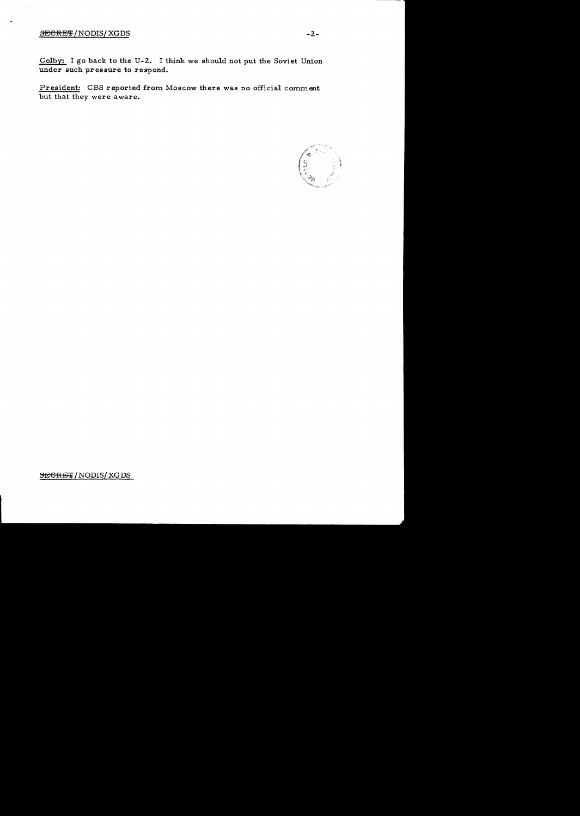# SECRET/NODIS/XGDS -2-

Colby: I go back to the U-2. I think we should not put the Soviet Union under such pressure to respond.

President: CBS reported from Moscow there was no official comment but that they were aware.



**SEGRET / NODIS/ XG DS**